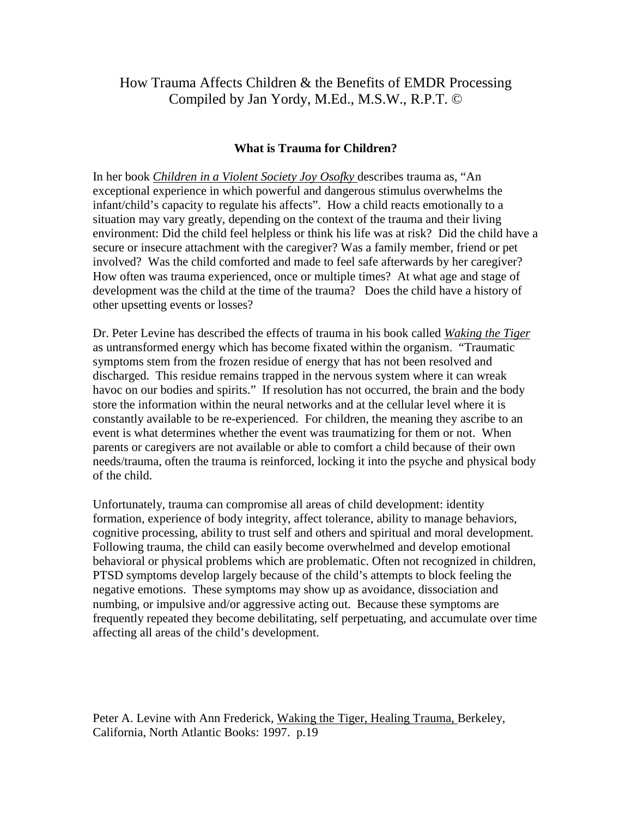# How Trauma Affects Children & the Benefits of EMDR Processing Compiled by Jan Yordy, M.Ed., M.S.W., R.P.T. ©

# **What is Trauma for Children?**

In her book *Children in a Violent Society Joy Osofky* describes trauma as, "An exceptional experience in which powerful and dangerous stimulus overwhelms the infant/child's capacity to regulate his affects". How a child reacts emotionally to a situation may vary greatly, depending on the context of the trauma and their living environment: Did the child feel helpless or think his life was at risk? Did the child have a secure or insecure attachment with the caregiver? Was a family member, friend or pet involved? Was the child comforted and made to feel safe afterwards by her caregiver? How often was trauma experienced, once or multiple times? At what age and stage of development was the child at the time of the trauma? Does the child have a history of other upsetting events or losses?

Dr. Peter Levine has described the effects of trauma in his book called *Waking the Tiger* as untransformed energy which has become fixated within the organism. "Traumatic symptoms stem from the frozen residue of energy that has not been resolved and discharged. This residue remains trapped in the nervous system where it can wreak havoc on our bodies and spirits." If resolution has not occurred, the brain and the body store the information within the neural networks and at the cellular level where it is constantly available to be re-experienced. For children, the meaning they ascribe to an event is what determines whether the event was traumatizing for them or not. When parents or caregivers are not available or able to comfort a child because of their own needs/trauma, often the trauma is reinforced, locking it into the psyche and physical body of the child.

Unfortunately, trauma can compromise all areas of child development: identity formation, experience of body integrity, affect tolerance, ability to manage behaviors, cognitive processing, ability to trust self and others and spiritual and moral development. Following trauma, the child can easily become overwhelmed and develop emotional behavioral or physical problems which are problematic. Often not recognized in children, PTSD symptoms develop largely because of the child's attempts to block feeling the negative emotions. These symptoms may show up as avoidance, dissociation and numbing, or impulsive and/or aggressive acting out. Because these symptoms are frequently repeated they become debilitating, self perpetuating, and accumulate over time affecting all areas of the child's development.

Peter A. Levine with Ann Frederick, Waking the Tiger, Healing Trauma, Berkeley, California, North Atlantic Books: 1997. p.19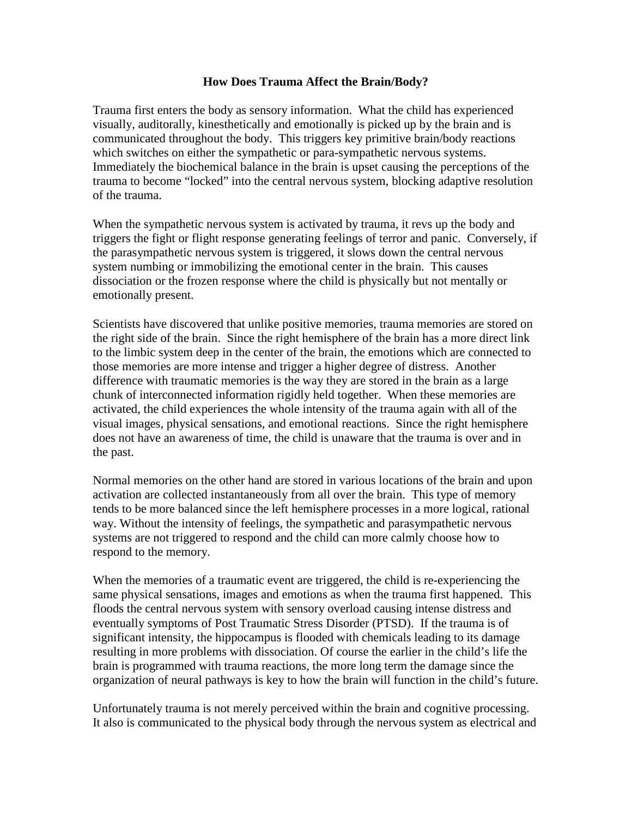# **How Does Trauma Affect the Brain/Body?**

Trauma first enters the body as sensory information. What the child has experienced visually, auditorally, kinesthetically and emotionally is picked up by the brain and is communicated throughout the body. This triggers key primitive brain/body reactions which switches on either the sympathetic or para-sympathetic nervous systems. Immediately the biochemical balance in the brain is upset causing the perceptions of the trauma to become "locked" into the central nervous system, blocking adaptive resolution of the trauma.

When the sympathetic nervous system is activated by trauma, it revs up the body and triggers the fight or flight response generating feelings of terror and panic. Conversely, if the parasympathetic nervous system is triggered, it slows down the central nervous system numbing or immobilizing the emotional center in the brain. This causes dissociation or the frozen response where the child is physically but not mentally or emotionally present.

Scientists have discovered that unlike positive memories, trauma memories are stored on the right side of the brain. Since the right hemisphere of the brain has a more direct link to the limbic system deep in the center of the brain, the emotions which are connected to those memories are more intense and trigger a higher degree of distress. Another difference with traumatic memories is the way they are stored in the brain as a large chunk of interconnected information rigidly held together. When these memories are activated, the child experiences the whole intensity of the trauma again with all of the visual images, physical sensations, and emotional reactions. Since the right hemisphere does not have an awareness of time, the child is unaware that the trauma is over and in the past.

Normal memories on the other hand are stored in various locations of the brain and upon activation are collected instantaneously from all over the brain. This type of memory tends to be more balanced since the left hemisphere processes in a more logical, rational way. Without the intensity of feelings, the sympathetic and parasympathetic nervous systems are not triggered to respond and the child can more calmly choose how to respond to the memory.

When the memories of a traumatic event are triggered, the child is re-experiencing the same physical sensations, images and emotions as when the trauma first happened. This floods the central nervous system with sensory overload causing intense distress and eventually symptoms of Post Traumatic Stress Disorder (PTSD). If the trauma is of significant intensity, the hippocampus is flooded with chemicals leading to its damage resulting in more problems with dissociation. Of course the earlier in the child's life the brain is programmed with trauma reactions, the more long term the damage since the organization of neural pathways is key to how the brain will function in the child's future.

Unfortunately trauma is not merely perceived within the brain and cognitive processing. It also is communicated to the physical body through the nervous system as electrical and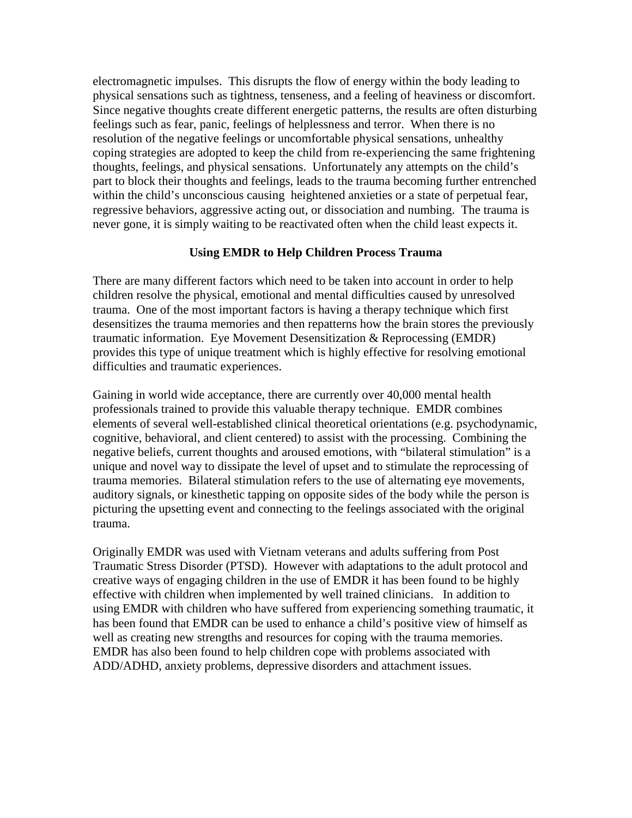electromagnetic impulses. This disrupts the flow of energy within the body leading to physical sensations such as tightness, tenseness, and a feeling of heaviness or discomfort. Since negative thoughts create different energetic patterns, the results are often disturbing feelings such as fear, panic, feelings of helplessness and terror. When there is no resolution of the negative feelings or uncomfortable physical sensations, unhealthy coping strategies are adopted to keep the child from re-experiencing the same frightening thoughts, feelings, and physical sensations. Unfortunately any attempts on the child's part to block their thoughts and feelings, leads to the trauma becoming further entrenched within the child's unconscious causing heightened anxieties or a state of perpetual fear, regressive behaviors, aggressive acting out, or dissociation and numbing. The trauma is never gone, it is simply waiting to be reactivated often when the child least expects it.

# **Using EMDR to Help Children Process Trauma**

There are many different factors which need to be taken into account in order to help children resolve the physical, emotional and mental difficulties caused by unresolved trauma. One of the most important factors is having a therapy technique which first desensitizes the trauma memories and then repatterns how the brain stores the previously traumatic information. Eye Movement Desensitization & Reprocessing (EMDR) provides this type of unique treatment which is highly effective for resolving emotional difficulties and traumatic experiences.

Gaining in world wide acceptance, there are currently over 40,000 mental health professionals trained to provide this valuable therapy technique. EMDR combines elements of several well-established clinical theoretical orientations (e.g. psychodynamic, cognitive, behavioral, and client centered) to assist with the processing. Combining the negative beliefs, current thoughts and aroused emotions, with "bilateral stimulation" is a unique and novel way to dissipate the level of upset and to stimulate the reprocessing of trauma memories. Bilateral stimulation refers to the use of alternating eye movements, auditory signals, or kinesthetic tapping on opposite sides of the body while the person is picturing the upsetting event and connecting to the feelings associated with the original trauma.

Originally EMDR was used with Vietnam veterans and adults suffering from Post Traumatic Stress Disorder (PTSD). However with adaptations to the adult protocol and creative ways of engaging children in the use of EMDR it has been found to be highly effective with children when implemented by well trained clinicians. In addition to using EMDR with children who have suffered from experiencing something traumatic, it has been found that EMDR can be used to enhance a child's positive view of himself as well as creating new strengths and resources for coping with the trauma memories. EMDR has also been found to help children cope with problems associated with ADD/ADHD, anxiety problems, depressive disorders and attachment issues.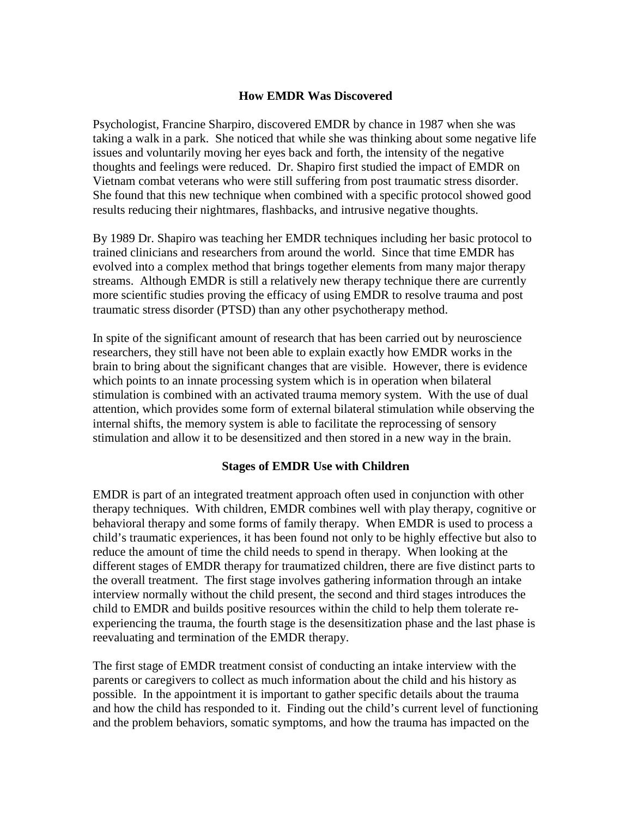# **How EMDR Was Discovered**

Psychologist, Francine Sharpiro, discovered EMDR by chance in 1987 when she was taking a walk in a park. She noticed that while she was thinking about some negative life issues and voluntarily moving her eyes back and forth, the intensity of the negative thoughts and feelings were reduced. Dr. Shapiro first studied the impact of EMDR on Vietnam combat veterans who were still suffering from post traumatic stress disorder. She found that this new technique when combined with a specific protocol showed good results reducing their nightmares, flashbacks, and intrusive negative thoughts.

By 1989 Dr. Shapiro was teaching her EMDR techniques including her basic protocol to trained clinicians and researchers from around the world. Since that time EMDR has evolved into a complex method that brings together elements from many major therapy streams. Although EMDR is still a relatively new therapy technique there are currently more scientific studies proving the efficacy of using EMDR to resolve trauma and post traumatic stress disorder (PTSD) than any other psychotherapy method.

In spite of the significant amount of research that has been carried out by neuroscience researchers, they still have not been able to explain exactly how EMDR works in the brain to bring about the significant changes that are visible. However, there is evidence which points to an innate processing system which is in operation when bilateral stimulation is combined with an activated trauma memory system. With the use of dual attention, which provides some form of external bilateral stimulation while observing the internal shifts, the memory system is able to facilitate the reprocessing of sensory stimulation and allow it to be desensitized and then stored in a new way in the brain.

#### **Stages of EMDR Use with Children**

EMDR is part of an integrated treatment approach often used in conjunction with other therapy techniques. With children, EMDR combines well with play therapy, cognitive or behavioral therapy and some forms of family therapy. When EMDR is used to process a child's traumatic experiences, it has been found not only to be highly effective but also to reduce the amount of time the child needs to spend in therapy. When looking at the different stages of EMDR therapy for traumatized children, there are five distinct parts to the overall treatment. The first stage involves gathering information through an intake interview normally without the child present, the second and third stages introduces the child to EMDR and builds positive resources within the child to help them tolerate reexperiencing the trauma, the fourth stage is the desensitization phase and the last phase is reevaluating and termination of the EMDR therapy.

The first stage of EMDR treatment consist of conducting an intake interview with the parents or caregivers to collect as much information about the child and his history as possible. In the appointment it is important to gather specific details about the trauma and how the child has responded to it. Finding out the child's current level of functioning and the problem behaviors, somatic symptoms, and how the trauma has impacted on the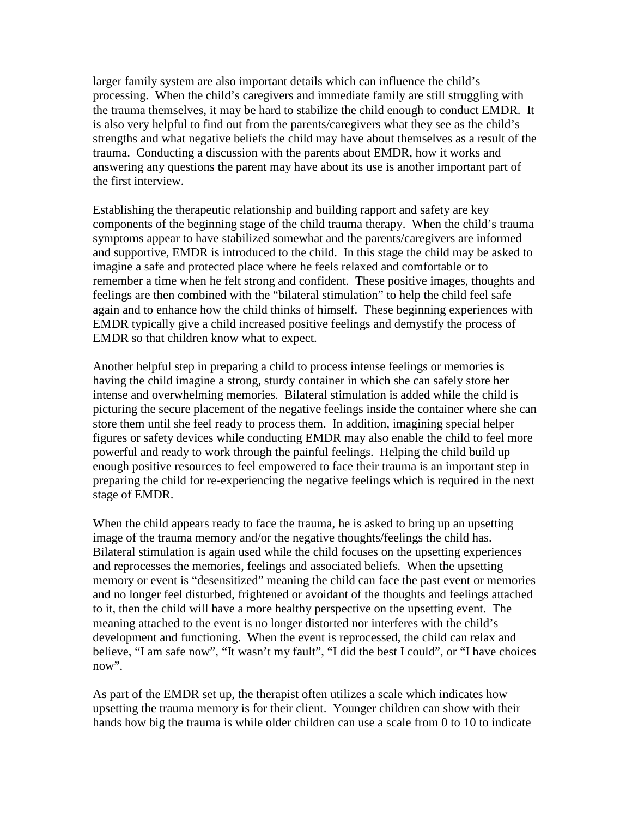larger family system are also important details which can influence the child's processing. When the child's caregivers and immediate family are still struggling with the trauma themselves, it may be hard to stabilize the child enough to conduct EMDR. It is also very helpful to find out from the parents/caregivers what they see as the child's strengths and what negative beliefs the child may have about themselves as a result of the trauma. Conducting a discussion with the parents about EMDR, how it works and answering any questions the parent may have about its use is another important part of the first interview.

Establishing the therapeutic relationship and building rapport and safety are key components of the beginning stage of the child trauma therapy. When the child's trauma symptoms appear to have stabilized somewhat and the parents/caregivers are informed and supportive, EMDR is introduced to the child. In this stage the child may be asked to imagine a safe and protected place where he feels relaxed and comfortable or to remember a time when he felt strong and confident. These positive images, thoughts and feelings are then combined with the "bilateral stimulation" to help the child feel safe again and to enhance how the child thinks of himself. These beginning experiences with EMDR typically give a child increased positive feelings and demystify the process of EMDR so that children know what to expect.

Another helpful step in preparing a child to process intense feelings or memories is having the child imagine a strong, sturdy container in which she can safely store her intense and overwhelming memories. Bilateral stimulation is added while the child is picturing the secure placement of the negative feelings inside the container where she can store them until she feel ready to process them. In addition, imagining special helper figures or safety devices while conducting EMDR may also enable the child to feel more powerful and ready to work through the painful feelings. Helping the child build up enough positive resources to feel empowered to face their trauma is an important step in preparing the child for re-experiencing the negative feelings which is required in the next stage of EMDR.

When the child appears ready to face the trauma, he is asked to bring up an upsetting image of the trauma memory and/or the negative thoughts/feelings the child has. Bilateral stimulation is again used while the child focuses on the upsetting experiences and reprocesses the memories, feelings and associated beliefs. When the upsetting memory or event is "desensitized" meaning the child can face the past event or memories and no longer feel disturbed, frightened or avoidant of the thoughts and feelings attached to it, then the child will have a more healthy perspective on the upsetting event. The meaning attached to the event is no longer distorted nor interferes with the child's development and functioning. When the event is reprocessed, the child can relax and believe, "I am safe now", "It wasn't my fault", "I did the best I could", or "I have choices now".

As part of the EMDR set up, the therapist often utilizes a scale which indicates how upsetting the trauma memory is for their client. Younger children can show with their hands how big the trauma is while older children can use a scale from 0 to 10 to indicate